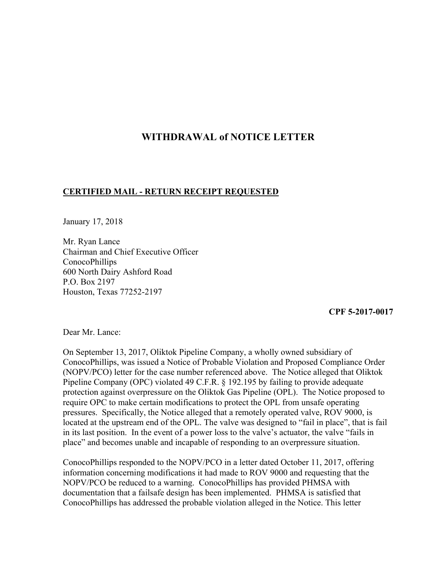## **WITHDRAWAL of NOTICE LETTER**

## **CERTIFIED MAIL - RETURN RECEIPT REQUESTED**

January 17, 2018

Mr. Ryan Lance Chairman and Chief Executive Officer ConocoPhillips 600 North Dairy Ashford Road P.O. Box 2197 Houston, Texas 77252-2197

## **CPF 5-2017-0017**

Dear Mr. Lance:

On September 13, 2017, Oliktok Pipeline Company, a wholly owned subsidiary of ConocoPhillips, was issued a Notice of Probable Violation and Proposed Compliance Order (NOPV/PCO) letter for the case number referenced above. The Notice alleged that Oliktok Pipeline Company (OPC) violated 49 C.F.R. § 192.195 by failing to provide adequate protection against overpressure on the Oliktok Gas Pipeline (OPL). The Notice proposed to require OPC to make certain modifications to protect the OPL from unsafe operating pressures. Specifically, the Notice alleged that a remotely operated valve, ROV 9000, is located at the upstream end of the OPL. The valve was designed to "fail in place", that is fail in its last position. In the event of a power loss to the valve's actuator, the valve "fails in place" and becomes unable and incapable of responding to an overpressure situation.

ConocoPhillips responded to the NOPV/PCO in a letter dated October 11, 2017, offering information concerning modifications it had made to ROV 9000 and requesting that the NOPV/PCO be reduced to a warning. ConocoPhillips has provided PHMSA with documentation that a failsafe design has been implemented. PHMSA is satisfied that ConocoPhillips has addressed the probable violation alleged in the Notice. This letter